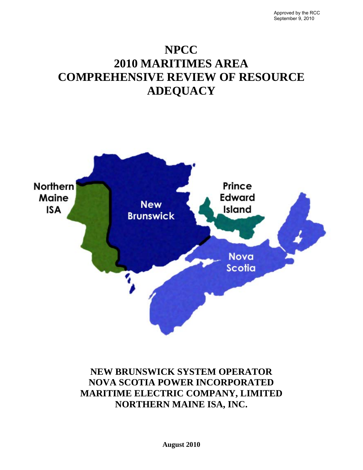# **NPCC 2010 MARITIMES AREA COMPREHENSIVE REVIEW OF RESOURCE ADEQUACY**



## **NEW BRUNSWICK SYSTEM OPERATOR NOVA SCOTIA POWER INCORPORATED MARITIME ELECTRIC COMPANY, LIMITED NORTHERN MAINE ISA, INC.**

**August 2010**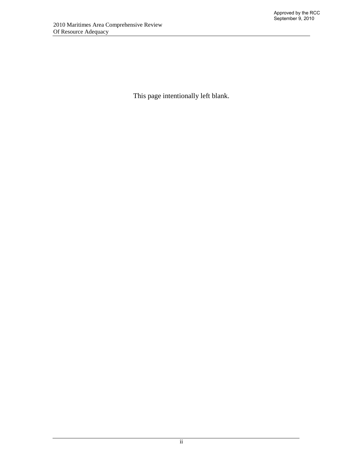This page intentionally left blank.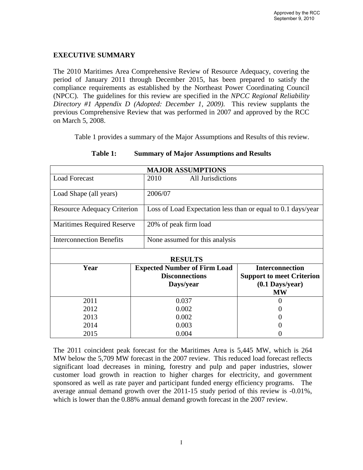#### **EXECUTIVE SUMMARY**

The 2010 Maritimes Area Comprehensive Review of Resource Adequacy, covering the period of January 2011 through December 2015, has been prepared to satisfy the compliance requirements as established by the Northeast Power Coordinating Council (NPCC). The guidelines for this review are specified in the *NPCC Regional Reliability Directory #1 Appendix D (Adopted: December 1, 2009)*. This review supplants the previous Comprehensive Review that was performed in 2007 and approved by the RCC on March 5, 2008.

Table 1 provides a summary of the Major Assumptions and Results of this review.

|                                                                                                    | <b>MAJOR ASSUMPTIONS</b>            |                                  |  |
|----------------------------------------------------------------------------------------------------|-------------------------------------|----------------------------------|--|
| <b>Load Forecast</b>                                                                               | All Jurisdictions<br>2010           |                                  |  |
| Load Shape (all years)                                                                             | 2006/07                             |                                  |  |
| <b>Resource Adequacy Criterion</b><br>Loss of Load Expectation less than or equal to 0.1 days/year |                                     |                                  |  |
| Maritimes Required Reserve                                                                         | 20% of peak firm load               |                                  |  |
| <b>Interconnection Benefits</b>                                                                    | None assumed for this analysis      |                                  |  |
|                                                                                                    | <b>RESULTS</b>                      |                                  |  |
| Year                                                                                               | <b>Expected Number of Firm Load</b> | <b>Interconnection</b>           |  |
|                                                                                                    | <b>Disconnections</b>               | <b>Support to meet Criterion</b> |  |
|                                                                                                    | Days/year                           | $(0.1$ Days/year)                |  |
|                                                                                                    |                                     | <b>MW</b>                        |  |
| 2011                                                                                               | 0.037                               |                                  |  |
| 2012                                                                                               | 0.002                               |                                  |  |
| 2013                                                                                               | 0.002                               |                                  |  |
| 2014                                                                                               | 0.003                               |                                  |  |
| 2015                                                                                               | 0.004                               |                                  |  |

#### **Table 1: Summary of Major Assumptions and Results**

The 2011 coincident peak forecast for the Maritimes Area is 5,445 MW, which is 264 MW below the 5,709 MW forecast in the 2007 review. This reduced load forecast reflects significant load decreases in mining, forestry and pulp and paper industries, slower customer load growth in reaction to higher charges for electricity, and government sponsored as well as rate payer and participant funded energy efficiency programs. The average annual demand growth over the 2011-15 study period of this review is -0.01%, which is lower than the 0.88% annual demand growth forecast in the 2007 review.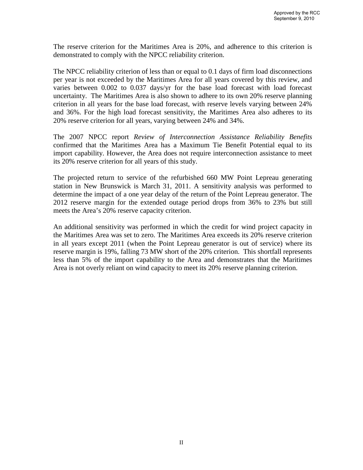The reserve criterion for the Maritimes Area is 20%, and adherence to this criterion is demonstrated to comply with the NPCC reliability criterion.

The NPCC reliability criterion of less than or equal to 0.1 days of firm load disconnections per year is not exceeded by the Maritimes Area for all years covered by this review, and varies between 0.002 to 0.037 days/yr for the base load forecast with load forecast uncertainty. The Maritimes Area is also shown to adhere to its own 20% reserve planning criterion in all years for the base load forecast, with reserve levels varying between 24% and 36%. For the high load forecast sensitivity, the Maritimes Area also adheres to its 20% reserve criterion for all years, varying between 24% and 34%.

The 2007 NPCC report *Review of Interconnection Assistance Reliability Benefits* confirmed that the Maritimes Area has a Maximum Tie Benefit Potential equal to its import capability. However, the Area does not require interconnection assistance to meet its 20% reserve criterion for all years of this study.

The projected return to service of the refurbished 660 MW Point Lepreau generating station in New Brunswick is March 31, 2011. A sensitivity analysis was performed to determine the impact of a one year delay of the return of the Point Lepreau generator. The 2012 reserve margin for the extended outage period drops from 36% to 23% but still meets the Area's 20% reserve capacity criterion.

An additional sensitivity was performed in which the credit for wind project capacity in the Maritimes Area was set to zero. The Maritimes Area exceeds its 20% reserve criterion in all years except 2011 (when the Point Lepreau generator is out of service) where its reserve margin is 19%, falling 73 MW short of the 20% criterion. This shortfall represents less than 5% of the import capability to the Area and demonstrates that the Maritimes Area is not overly reliant on wind capacity to meet its 20% reserve planning criterion.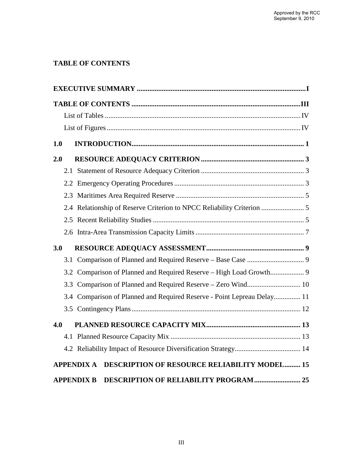## **TABLE OF CONTENTS**

| 1.0 |     |                                                                          |  |
|-----|-----|--------------------------------------------------------------------------|--|
| 2.0 |     |                                                                          |  |
|     |     |                                                                          |  |
|     |     |                                                                          |  |
|     |     |                                                                          |  |
|     | 2.4 |                                                                          |  |
|     |     |                                                                          |  |
|     |     |                                                                          |  |
| 3.0 |     |                                                                          |  |
|     |     |                                                                          |  |
|     |     | 3.2 Comparison of Planned and Required Reserve - High Load Growth 9      |  |
|     |     |                                                                          |  |
|     |     | 3.4 Comparison of Planned and Required Reserve - Point Lepreau Delay 11  |  |
|     |     |                                                                          |  |
| 4.0 |     |                                                                          |  |
|     |     |                                                                          |  |
|     |     |                                                                          |  |
|     |     | <b>DESCRIPTION OF RESOURCE RELIABILITY MODEL 15</b><br><b>APPENDIX A</b> |  |
|     |     | <b>DESCRIPTION OF RELIABILITY PROGRAM 25</b><br><b>APPENDIX B</b>        |  |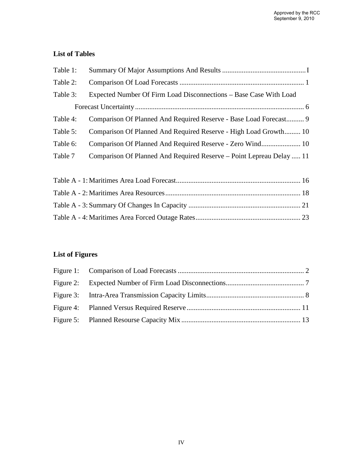## **List of Tables**

| Table 1: |                                                                      |
|----------|----------------------------------------------------------------------|
| Table 2: |                                                                      |
| Table 3: | Expected Number Of Firm Load Disconnections – Base Case With Load    |
|          |                                                                      |
| Table 4: | Comparison Of Planned And Required Reserve - Base Load Forecast 9    |
| Table 5: | Comparison Of Planned And Required Reserve - High Load Growth 10     |
| Table 6: |                                                                      |
| Table 7  | Comparison Of Planned And Required Reserve – Point Lepreau Delay  11 |
|          |                                                                      |
|          | Table $\Delta$ - 1: Maritimes Area Load Forecast<br>16               |

## **List of Figures**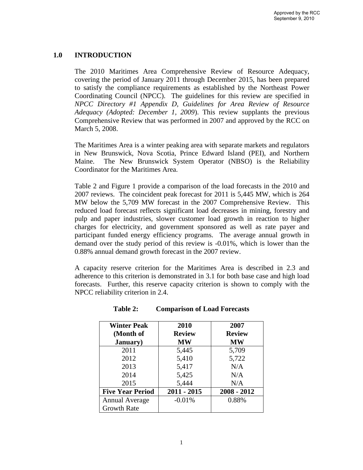#### **1.0 INTRODUCTION**

The 2010 Maritimes Area Comprehensive Review of Resource Adequacy, covering the period of January 2011 through December 2015, has been prepared to satisfy the compliance requirements as established by the Northeast Power Coordinating Council (NPCC). The guidelines for this review are specified in *NPCC Directory #1 Appendix D, Guidelines for Area Review of Resource Adequacy (Adopted: December 1, 2009*). This review supplants the previous Comprehensive Review that was performed in 2007 and approved by the RCC on March 5, 2008.

The Maritimes Area is a winter peaking area with separate markets and regulators in New Brunswick, Nova Scotia, Prince Edward Island (PEI), and Northern Maine. The New Brunswick System Operator (NBSO) is the Reliability Coordinator for the Maritimes Area.

Table 2 and Figure 1 provide a comparison of the load forecasts in the 2010 and 2007 reviews. The coincident peak forecast for 2011 is 5,445 MW, which is 264 MW below the 5,709 MW forecast in the 2007 Comprehensive Review. This reduced load forecast reflects significant load decreases in mining, forestry and pulp and paper industries, slower customer load growth in reaction to higher charges for electricity, and government sponsored as well as rate payer and participant funded energy efficiency programs. The average annual growth in demand over the study period of this review is -0.01%, which is lower than the 0.88% annual demand growth forecast in the 2007 review.

A capacity reserve criterion for the Maritimes Area is described in 2.3 and adherence to this criterion is demonstrated in 3.1 for both base case and high load forecasts. Further, this reserve capacity criterion is shown to comply with the NPCC reliability criterion in 2.4.

| <b>Winter Peak</b>      | 2010          | 2007          |
|-------------------------|---------------|---------------|
| (Month of               | <b>Review</b> | <b>Review</b> |
| January)                | <b>MW</b>     | <b>MW</b>     |
| 2011                    | 5,445         | 5,709         |
| 2012                    | 5,410         | 5,722         |
| 2013                    | 5,417         | N/A           |
| 2014                    | 5,425         | N/A           |
| 2015                    | 5,444         | N/A           |
| <b>Five Year Period</b> | $2011 - 2015$ | $2008 - 2012$ |
| <b>Annual Average</b>   | $-0.01%$      | 0.88%         |
| <b>Growth Rate</b>      |               |               |

#### **Table 2: Comparison of Load Forecasts**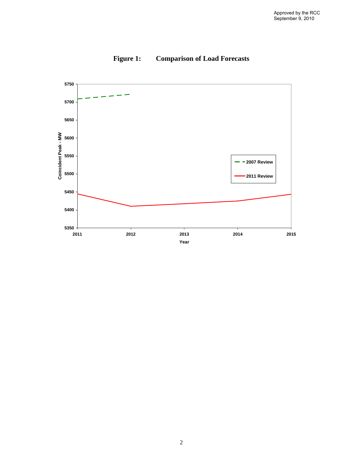

## **Figure 1: Comparison of Load Forecasts**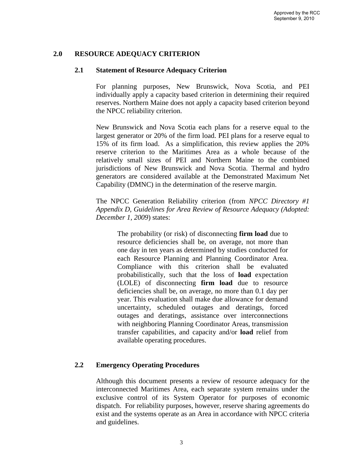#### **2.0 RESOURCE ADEQUACY CRITERION**

#### **2.1 Statement of Resource Adequacy Criterion**

For planning purposes, New Brunswick, Nova Scotia, and PEI individually apply a capacity based criterion in determining their required reserves. Northern Maine does not apply a capacity based criterion beyond the NPCC reliability criterion.

New Brunswick and Nova Scotia each plans for a reserve equal to the largest generator or 20% of the firm load. PEI plans for a reserve equal to 15% of its firm load. As a simplification, this review applies the 20% reserve criterion to the Maritimes Area as a whole because of the relatively small sizes of PEI and Northern Maine to the combined jurisdictions of New Brunswick and Nova Scotia. Thermal and hydro generators are considered available at the Demonstrated Maximum Net Capability (DMNC) in the determination of the reserve margin.

The NPCC Generation Reliability criterion (from *NPCC Directory #1 Appendix D, Guidelines for Area Review of Resource Adequacy (Adopted: December 1, 2009*) states:

> The probability (or risk) of disconnecting **firm load** due to resource deficiencies shall be, on average, not more than one day in ten years as determined by studies conducted for each Resource Planning and Planning Coordinator Area. Compliance with this criterion shall be evaluated probabilistically, such that the loss of **load** expectation (LOLE) of disconnecting **firm load** due to resource deficiencies shall be, on average, no more than 0.1 day per year. This evaluation shall make due allowance for demand uncertainty, scheduled outages and deratings, forced outages and deratings, assistance over interconnections with neighboring Planning Coordinator Areas, transmission transfer capabilities, and capacity and/or **load** relief from available operating procedures.

#### **2.2 Emergency Operating Procedures**

Although this document presents a review of resource adequacy for the interconnected Maritimes Area, each separate system remains under the exclusive control of its System Operator for purposes of economic dispatch. For reliability purposes, however, reserve sharing agreements do exist and the systems operate as an Area in accordance with NPCC criteria and guidelines.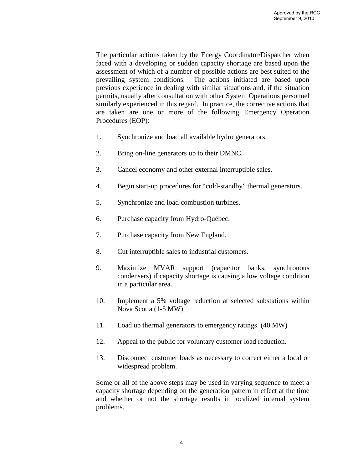The particular actions taken by the Energy Coordinator/Dispatcher when faced with a developing or sudden capacity shortage are based upon the assessment of which of a number of possible actions are best suited to the prevailing system conditions. The actions initiated are based upon previous experience in dealing with similar situations and, if the situation permits, usually after consultation with other System Operations personnel similarly experienced in this regard. In practice, the corrective actions that are taken are one or more of the following Emergency Operation Procedures (EOP):

- 1. Synchronize and load all available hydro generators.
- 2. Bring on-line generators up to their DMNC.
- 3. Cancel economy and other external interruptible sales.
- 4. Begin start-up procedures for "cold-standby" thermal generators.
- 5. Synchronize and load combustion turbines.
- 6. Purchase capacity from Hydro-Québec.
- 7. Purchase capacity from New England.
- 8. Cut interruptible sales to industrial customers.
- 9. Maximize MVAR support (capacitor banks, synchronous condensers) if capacity shortage is causing a low voltage condition in a particular area.
- 10. Implement a 5% voltage reduction at selected substations within Nova Scotia (1-5 MW)
- 11. Load up thermal generators to emergency ratings. (40 MW)
- 12. Appeal to the public for voluntary customer load reduction.
- 13. Disconnect customer loads as necessary to correct either a local or widespread problem.

Some or all of the above steps may be used in varying sequence to meet a capacity shortage depending on the generation pattern in effect at the time and whether or not the shortage results in localized internal system problems.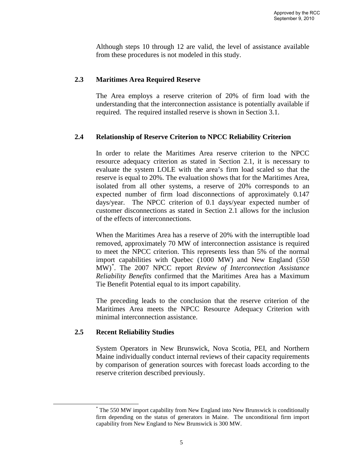Although steps 10 through 12 are valid, the level of assistance available from these procedures is not modeled in this study.

#### **2.3 Maritimes Area Required Reserve**

The Area employs a reserve criterion of 20% of firm load with the understanding that the interconnection assistance is potentially available if required. The required installed reserve is shown in Section 3.1.

#### **2.4 Relationship of Reserve Criterion to NPCC Reliability Criterion**

In order to relate the Maritimes Area reserve criterion to the NPCC resource adequacy criterion as stated in Section 2.1, it is necessary to evaluate the system LOLE with the area's firm load scaled so that the reserve is equal to 20%. The evaluation shows that for the Maritimes Area, isolated from all other systems, a reserve of 20% corresponds to an expected number of firm load disconnections of approximately 0.147 days/year. The NPCC criterion of 0.1 days/year expected number of customer disconnections as stated in Section 2.1 allows for the inclusion of the effects of interconnections.

When the Maritimes Area has a reserve of 20% with the interruptible load removed, approximately 70 MW of interconnection assistance is required to meet the NPCC criterion. This represents less than 5% of the normal import capabilities with Quebec (1000 MW) and New England (550 MW) [\\*](#page-10-0) . The 2007 NPCC report *Review of Interconnection Assistance Reliability Benefits* confirmed that the Maritimes Area has a Maximum Tie Benefit Potential equal to its import capability.

The preceding leads to the conclusion that the reserve criterion of the Maritimes Area meets the NPCC Resource Adequacy Criterion with minimal interconnection assistance.

#### **2.5 Recent Reliability Studies**

System Operators in New Brunswick, Nova Scotia, PEI, and Northern Maine individually conduct internal reviews of their capacity requirements by comparison of generation sources with forecast loads according to the reserve criterion described previously.

<span id="page-10-0"></span> <sup>\*</sup> The 550 MW import capability from New England into New Brunswick is conditionally firm depending on the status of generators in Maine. The unconditional firm import capability from New England to New Brunswick is 300 MW.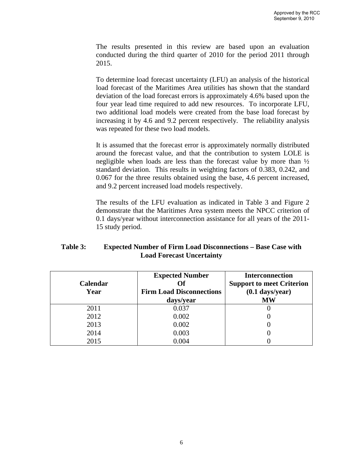The results presented in this review are based upon an evaluation conducted during the third quarter of 2010 for the period 2011 through 2015.

To determine load forecast uncertainty (LFU) an analysis of the historical load forecast of the Maritimes Area utilities has shown that the standard deviation of the load forecast errors is approximately 4.6% based upon the four year lead time required to add new resources. To incorporate LFU, two additional load models were created from the base load forecast by increasing it by 4.6 and 9.2 percent respectively. The reliability analysis was repeated for these two load models.

It is assumed that the forecast error is approximately normally distributed around the forecast value, and that the contribution to system LOLE is negligible when loads are less than the forecast value by more than ½ standard deviation. This results in weighting factors of 0.383, 0.242, and 0.067 for the three results obtained using the base, 4.6 percent increased, and 9.2 percent increased load models respectively.

The results of the LFU evaluation as indicated in Table 3 and Figure 2 demonstrate that the Maritimes Area system meets the NPCC criterion of 0.1 days/year without interconnection assistance for all years of the 2011- 15 study period.

#### **Table 3: Expected Number of Firm Load Disconnections – Base Case with Load Forecast Uncertainty**

| Calendar<br>Year | <b>Expected Number</b><br>Оf<br><b>Firm Load Disconnections</b><br>days/year | <b>Interconnection</b><br><b>Support to meet Criterion</b><br>$(0.1$ days/year)<br><b>MW</b> |
|------------------|------------------------------------------------------------------------------|----------------------------------------------------------------------------------------------|
| 2011             | 0.037                                                                        |                                                                                              |
| 2012             | 0.002                                                                        |                                                                                              |
| 2013             | 0.002                                                                        |                                                                                              |
| 2014             | 0.003                                                                        |                                                                                              |
| 2015             | 0.004                                                                        |                                                                                              |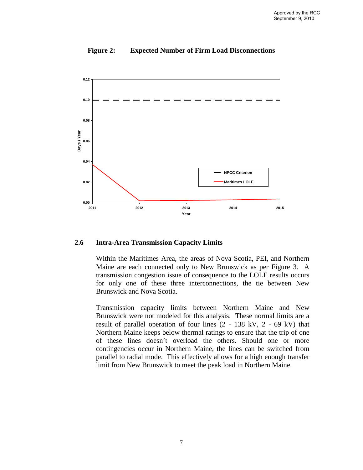

#### **Figure 2: Expected Number of Firm Load Disconnections**

#### **2.6 Intra-Area Transmission Capacity Limits**

Within the Maritimes Area, the areas of Nova Scotia, PEI, and Northern Maine are each connected only to New Brunswick as per Figure 3. A transmission congestion issue of consequence to the LOLE results occurs for only one of these three interconnections, the tie between New Brunswick and Nova Scotia.

Transmission capacity limits between Northern Maine and New Brunswick were not modeled for this analysis. These normal limits are a result of parallel operation of four lines (2 - 138 kV, 2 - 69 kV) that Northern Maine keeps below thermal ratings to ensure that the trip of one of these lines doesn't overload the others. Should one or more contingencies occur in Northern Maine, the lines can be switched from parallel to radial mode. This effectively allows for a high enough transfer limit from New Brunswick to meet the peak load in Northern Maine.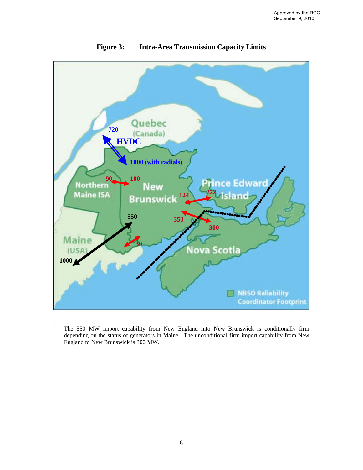

**Figure 3: Intra-Area Transmission Capacity Limits**

\*\* The 550 MW import capability from New England into New Brunswick is conditionally firm depending on the status of generators in Maine. The unconditional firm import capability from New England to New Brunswick is 300 MW.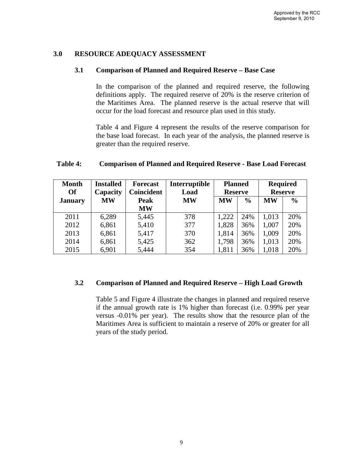#### **3.0 RESOURCE ADEQUACY ASSESSMENT**

#### **3.1 Comparison of Planned and Required Reserve – Base Case**

In the comparison of the planned and required reserve, the following definitions apply. The required reserve of 20% is the reserve criterion of the Maritimes Area. The planned reserve is the actual reserve that will occur for the load forecast and resource plan used in this study.

Table 4 and Figure 4 represent the results of the reserve comparison for the base load forecast. In each year of the analysis, the planned reserve is greater than the required reserve.

#### **Table 4: Comparison of Planned and Required Reserve - Base Load Forecast**

| <b>Month</b>   | <b>Installed</b> | <b>Forecast</b>   | Interruptible | <b>Planned</b> |               | <b>Required</b> |                |
|----------------|------------------|-------------------|---------------|----------------|---------------|-----------------|----------------|
| <b>Of</b>      | Capacity         | <b>Coincident</b> | Load          | <b>Reserve</b> |               |                 | <b>Reserve</b> |
| <b>January</b> | <b>MW</b>        | Peak              | <b>MW</b>     | <b>MW</b>      | $\frac{0}{0}$ | <b>MW</b>       | $\frac{6}{6}$  |
|                |                  | <b>MW</b>         |               |                |               |                 |                |
| 2011           | 6,289            | 5,445             | 378           | 1,222          | 24%           | 1,013           | 20%            |
| 2012           | 6,861            | 5,410             | 377           | 1,828          | 36%           | 1,007           | 20%            |
| 2013           | 6,861            | 5,417             | 370           | 1,814          | 36%           | 1,009           | 20%            |
| 2014           | 6,861            | 5,425             | 362           | 1,798          | 36%           | 1,013           | 20%            |
| 2015           | 6,901            | 5,444             | 354           | 1,811          | 36%           | 1,018           | 20%            |

#### **3.2 Comparison of Planned and Required Reserve – High Load Growth**

Table 5 and Figure 4 illustrate the changes in planned and required reserve if the annual growth rate is 1% higher than forecast (i.e. 0.99% per year versus -0.01% per year). The results show that the resource plan of the Maritimes Area is sufficient to maintain a reserve of 20% or greater for all years of the study period.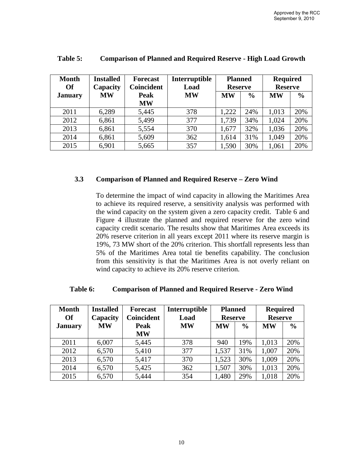| <b>Month</b><br><b>Of</b> | <b>Installed</b><br>Capacity | <b>Forecast</b><br><b>Coincident</b> | Interruptible<br>Load | <b>Planned</b><br><b>Reserve</b> |               | <b>Required</b><br><b>Reserve</b> |               |
|---------------------------|------------------------------|--------------------------------------|-----------------------|----------------------------------|---------------|-----------------------------------|---------------|
| <b>January</b>            | <b>MW</b>                    | Peak<br><b>MW</b>                    | <b>MW</b>             | <b>MW</b>                        | $\frac{6}{6}$ | <b>MW</b>                         | $\frac{6}{6}$ |
| 2011                      | 6,289                        | 5,445                                | 378                   | 1,222                            | 24%           | 1,013                             | 20%           |
| 2012                      | 6,861                        | 5,499                                | 377                   | 1,739                            | 34%           | 1,024                             | 20%           |
| 2013                      | 6,861                        | 5,554                                | 370                   | 1,677                            | 32%           | 1,036                             | 20%           |
| 2014                      | 6,861                        | 5,609                                | 362                   | 1,614                            | 31%           | 1,049                             | 20%           |
| 2015                      | 6,901                        | 5,665                                | 357                   | 1,590                            | 30%           | 1,061                             | 20%           |

#### **Table 5: Comparison of Planned and Required Reserve - High Load Growth**

#### **3.3 Comparison of Planned and Required Reserve – Zero Wind**

To determine the impact of wind capacity in allowing the Maritimes Area to achieve its required reserve, a sensitivity analysis was performed with the wind capacity on the system given a zero capacity credit. Table 6 and Figure 4 illustrate the planned and required reserve for the zero wind capacity credit scenario. The results show that Maritimes Area exceeds its 20% reserve criterion in all years except 2011 where its reserve margin is 19%, 73 MW short of the 20% criterion. This shortfall represents less than 5% of the Maritimes Area total tie benefits capability. The conclusion from this sensitivity is that the Maritimes Area is not overly reliant on wind capacity to achieve its 20% reserve criterion.

**Table 6: Comparison of Planned and Required Reserve - Zero Wind** 

| <b>Month</b><br><b>Of</b> | <b>Installed</b><br><b>Capacity</b> | <b>Forecast</b><br><b>Coincident</b> | <b>Interruptible</b><br>Load | <b>Planned</b><br><b>Reserve</b> |               | <b>Required</b><br><b>Reserve</b> |               |
|---------------------------|-------------------------------------|--------------------------------------|------------------------------|----------------------------------|---------------|-----------------------------------|---------------|
| <b>January</b>            | <b>MW</b>                           | Peak<br><b>MW</b>                    | <b>MW</b>                    | <b>MW</b>                        | $\frac{6}{6}$ | <b>MW</b>                         | $\frac{0}{0}$ |
| 2011                      | 6,007                               | 5,445                                | 378                          | 940                              | 19%           | 1,013                             | 20%           |
| 2012                      | 6,570                               | 5,410                                | 377                          | 1,537                            | 31%           | 1,007                             | 20%           |
| 2013                      | 6,570                               | 5,417                                | 370                          | 1,523                            | 30%           | 1,009                             | 20%           |
| 2014                      | 6,570                               | 5,425                                | 362                          | 1,507                            | 30%           | 1,013                             | 20%           |
| 2015                      | 6,570                               | 5,444                                | 354                          | 1,480                            | 29%           | 1,018                             | 20%           |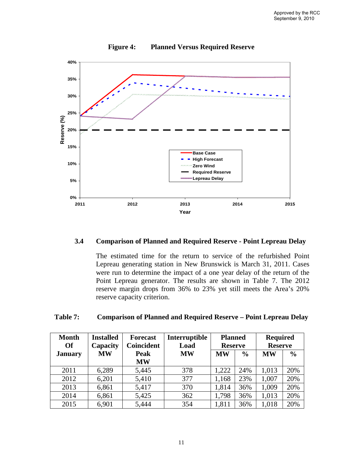

**Figure 4: Planned Versus Required Reserve**

#### **3.4 Comparison of Planned and Required Reserve - Point Lepreau Delay**

The estimated time for the return to service of the refurbished Point Lepreau generating station in New Brunswick is March 31, 2011. Cases were run to determine the impact of a one year delay of the return of the Point Lepreau generator. The results are shown in Table 7. The 2012 reserve margin drops from 36% to 23% yet still meets the Area's 20% reserve capacity criterion.

#### **Table 7: Comparison of Planned and Required Reserve – Point Lepreau Delay**

| <b>Month</b><br><b>Of</b> | <b>Installed</b><br>Capacity | <b>Forecast</b><br><b>Coincident</b> | Interruptible<br>Load | <b>Planned</b><br><b>Reserve</b> |               | <b>Required</b><br><b>Reserve</b> |               |
|---------------------------|------------------------------|--------------------------------------|-----------------------|----------------------------------|---------------|-----------------------------------|---------------|
| <b>January</b>            | <b>MW</b>                    | Peak<br><b>MW</b>                    | <b>MW</b>             | <b>MW</b>                        | $\frac{6}{6}$ | <b>MW</b>                         | $\frac{0}{0}$ |
| 2011                      | 6,289                        | 5,445                                | 378                   | 1,222                            | 24%           | 1,013                             | 20%           |
| 2012                      | 6,201                        | 5,410                                | 377                   | 1,168                            | 23%           | 1,007                             | 20%           |
| 2013                      | 6,861                        | 5,417                                | 370                   | 1,814                            | 36%           | 1,009                             | 20%           |
| 2014                      | 6,861                        | 5,425                                | 362                   | 1,798                            | 36%           | 1,013                             | 20%           |
| 2015                      | 6,901                        | 5,444                                | 354                   | 1,811                            | 36%           | 1,018                             | 20%           |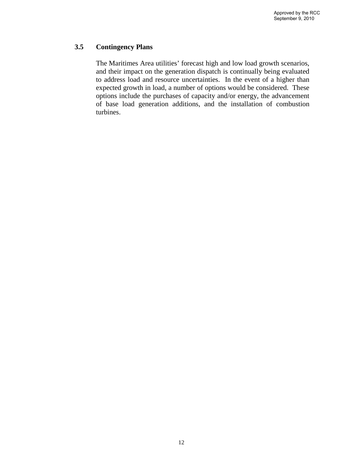#### **3.5 Contingency Plans**

The Maritimes Area utilities' forecast high and low load growth scenarios, and their impact on the generation dispatch is continually being evaluated to address load and resource uncertainties. In the event of a higher than expected growth in load, a number of options would be considered. These options include the purchases of capacity and/or energy, the advancement of base load generation additions, and the installation of combustion turbines.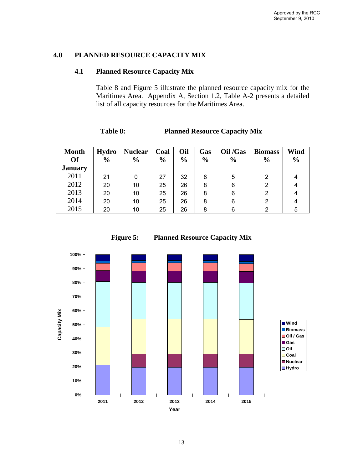#### **4.0 PLANNED RESOURCE CAPACITY MIX**

#### **4.1 Planned Resource Capacity Mix**

Table 8 and Figure 5 illustrate the planned resource capacity mix for the Maritimes Area. Appendix A, Section 1.2, Table A-2 presents a detailed list of all capacity resources for the Maritimes Area.

| Table 8: | <b>Planned Resource Capacity Mix</b> |
|----------|--------------------------------------|
|----------|--------------------------------------|

| <b>Month</b>   | Hydro         | <b>Nuclear</b> | Coal          | Oil           | Gas           | Oil /Gas      | <b>Biomass</b> | Wind          |
|----------------|---------------|----------------|---------------|---------------|---------------|---------------|----------------|---------------|
| <b>Of</b>      | $\frac{6}{9}$ | $\frac{0}{0}$  | $\frac{6}{6}$ | $\frac{0}{0}$ | $\frac{0}{0}$ | $\frac{0}{0}$ | $\frac{6}{6}$  | $\frac{0}{0}$ |
| <b>January</b> |               |                |               |               |               |               |                |               |
| 2011           | 21            |                | 27            | 32            | 8             | 5             | 2              |               |
| 2012           | 20            | 10             | 25            | 26            | 8             | 6             | 2              |               |
| 2013           | 20            | 10             | 25            | 26            | 8             | 6             | 2              |               |
| 2014           | 20            | 10             | 25            | 26            | 8             | 6             | 2              |               |
| 2015           | 20            | 10             | 25            | 26            | 8             | 6             | 2              | 5             |



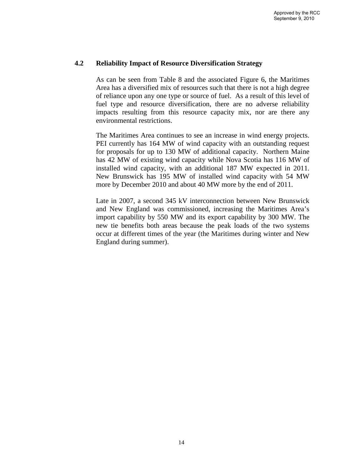#### **4.2 Reliability Impact of Resource Diversification Strategy**

As can be seen from Table 8 and the associated Figure 6, the Maritimes Area has a diversified mix of resources such that there is not a high degree of reliance upon any one type or source of fuel. As a result of this level of fuel type and resource diversification, there are no adverse reliability impacts resulting from this resource capacity mix, nor are there any environmental restrictions.

The Maritimes Area continues to see an increase in wind energy projects. PEI currently has 164 MW of wind capacity with an outstanding request for proposals for up to 130 MW of additional capacity. Northern Maine has 42 MW of existing wind capacity while Nova Scotia has 116 MW of installed wind capacity, with an additional 187 MW expected in 2011. New Brunswick has 195 MW of installed wind capacity with 54 MW more by December 2010 and about 40 MW more by the end of 2011.

Late in 2007, a second 345 kV interconnection between New Brunswick and New England was commissioned, increasing the Maritimes Area's import capability by 550 MW and its export capability by 300 MW. The new tie benefits both areas because the peak loads of the two systems occur at different times of the year (the Maritimes during winter and New England during summer).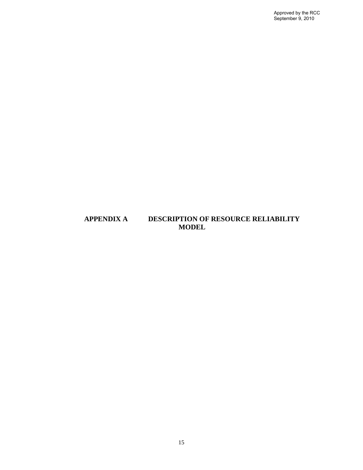#### **APPENDIX A DESCRIPTION OF RESOURCE RELIABILITY MODEL**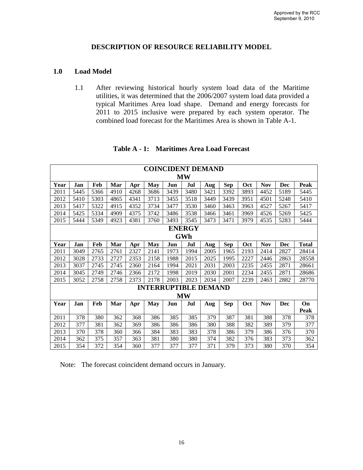#### **DESCRIPTION OF RESOURCE RELIABILITY MODEL**

#### **1.0 Load Model**

1.1 After reviewing historical hourly system load data of the Maritime utilities, it was determined that the 2006/2007 system load data provided a typical Maritimes Area load shape. Demand and energy forecasts for 2011 to 2015 inclusive were prepared by each system operator. The combined load forecast for the Maritimes Area is shown in Table A-1.

| <b>COINCIDENT DEMAND</b><br><b>MW</b> |      |      |      |      |            |                             |               |      |            |      |            |            |              |
|---------------------------------------|------|------|------|------|------------|-----------------------------|---------------|------|------------|------|------------|------------|--------------|
| Year                                  | Jan  | Feb  | Mar  | Apr  | <b>May</b> | Jun                         | Jul           | Aug  | <b>Sep</b> | Oct  | <b>Nov</b> | <b>Dec</b> | Peak         |
| 2011                                  | 5445 | 5366 | 4910 | 4268 | 3686       | 3439                        | 3480          | 3421 | 3392       | 3893 | 4452       | 5189       | 5445         |
| 2012                                  | 5410 | 5303 | 4865 | 4341 | 3713       | 3455                        | 3518          | 3449 | 3439       | 3951 | 4501       | 5248       | 5410         |
| 2013                                  | 5417 | 5322 | 4915 | 4352 | 3734       | 3477                        | 3530          | 3460 | 3463       | 3963 | 4527       | 5267       | 5417         |
| 2014                                  | 5425 | 5334 | 4909 | 4375 | 3742       | 3486                        | 3538          | 3466 | 3461       | 3969 | 4526       | 5269       | 5425         |
| 2015                                  | 5444 | 5349 | 4923 | 4381 | 3760       | 3493                        | 3545          | 3473 | 3471       | 3979 | 4535       | 5283       | 5444         |
|                                       |      |      |      |      |            |                             | <b>ENERGY</b> |      |            |      |            |            |              |
| GWh                                   |      |      |      |      |            |                             |               |      |            |      |            |            |              |
| Year                                  | Jan  | Feb  | Mar  | Apr  | <b>May</b> | Jun                         | Jul           | Aug  | <b>Sep</b> | Oct  | <b>Nov</b> | <b>Dec</b> | <b>Total</b> |
| 2011                                  | 3049 | 2765 | 2761 | 2327 | 2141       | 1973                        | 1994          | 2005 | 1965       | 2193 | 2414       | 2827       | 28414        |
| 2012                                  | 3028 | 2733 | 2727 | 2353 | 2158       | 1988                        | 2015          | 2025 | 1995       | 2227 | 2446       | 2863       | 28558        |
| 2013                                  | 3037 | 2745 | 2745 | 2360 | 2164       | 1994                        | 2021          | 2031 | 2003       | 2235 | 2455       | 2871       | 28661        |
| 2014                                  | 3045 | 2749 | 2746 | 2366 | 2172       | 1998                        | 2019          | 2030 | 2001       | 2234 | 2455       | 2871       | 28686        |
| 2015                                  | 3052 | 2758 | 2758 | 2373 | 2178       | 2003                        | 2023          | 2034 | 2007       | 2239 | 2463       | 2882       | 28770        |
|                                       |      |      |      |      |            | <b>INTERRUPTIBLE DEMAND</b> |               |      |            |      |            |            |              |
| <b>MW</b>                             |      |      |      |      |            |                             |               |      |            |      |            |            |              |
| Year                                  | Jan  | Feb  | Mar  | Apr  | May        | Jun                         | Jul           | Aug  | <b>Sep</b> | Oct  | <b>Nov</b> | Dec        | On           |
|                                       |      |      |      |      |            |                             |               |      |            |      |            |            | Peak         |
| 2011                                  | 378  | 380  | 362  | 368  | 386        | 385                         | 385           | 379  | 387        | 381  | 388        | 378        | 378          |
| 2012                                  | 377  | 381  | 362  | 369  | 386        | 386                         | 386           | 380  | 388        | 382  | 389        | 379        | 377          |
| 2013                                  | 370  | 378  | 360  | 366  | 384        | 383                         | 383           | 378  | 386        | 379  | 386        | 376        | 370          |
| 2014                                  | 362  | 375  | 357  | 363  | 381        | 380                         | 380           | 374  | 382        | 376  | 383        | 373        | 362          |
| 2015                                  | 354  | 372  | 354  | 360  | 377        | 377                         | 377           | 371  | 379        | 373  | 380        | 370        | 354          |

#### **Table A - 1: Maritimes Area Load Forecast**

Note: The forecast coincident demand occurs in January.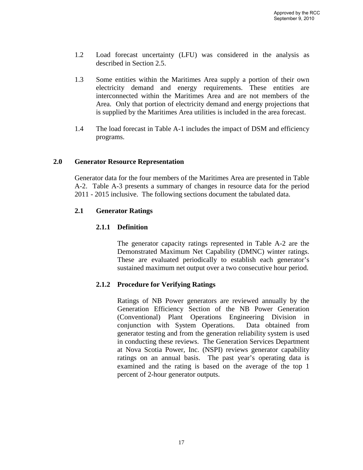- 1.2 Load forecast uncertainty (LFU) was considered in the analysis as described in Section 2.5.
- 1.3 Some entities within the Maritimes Area supply a portion of their own electricity demand and energy requirements. These entities are interconnected within the Maritimes Area and are not members of the Area. Only that portion of electricity demand and energy projections that is supplied by the Maritimes Area utilities is included in the area forecast.
- 1.4 The load forecast in Table A-1 includes the impact of DSM and efficiency programs.

#### **2.0 Generator Resource Representation**

Generator data for the four members of the Maritimes Area are presented in Table A-2. Table A-3 presents a summary of changes in resource data for the period 2011 - 2015 inclusive. The following sections document the tabulated data.

#### **2.1 Generator Ratings**

#### **2.1.1 Definition**

The generator capacity ratings represented in Table A-2 are the Demonstrated Maximum Net Capability (DMNC) winter ratings. These are evaluated periodically to establish each generator's sustained maximum net output over a two consecutive hour period.

#### **2.1.2 Procedure for Verifying Ratings**

Ratings of NB Power generators are reviewed annually by the Generation Efficiency Section of the NB Power Generation (Conventional) Plant Operations Engineering Division in conjunction with System Operations. Data obtained from generator testing and from the generation reliability system is used in conducting these reviews. The Generation Services Department at Nova Scotia Power, Inc. (NSPI) reviews generator capability ratings on an annual basis. The past year's operating data is examined and the rating is based on the average of the top 1 percent of 2-hour generator outputs.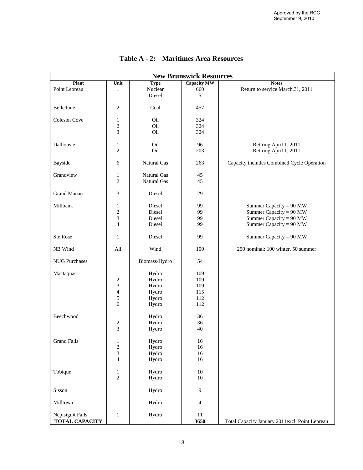| <b>New Brunswick Resources</b> |                         |               |                    |                                                |  |  |  |  |
|--------------------------------|-------------------------|---------------|--------------------|------------------------------------------------|--|--|--|--|
| Plant                          | Unit                    | <b>Type</b>   | <b>Capacity MW</b> | <b>Notes</b>                                   |  |  |  |  |
| Point Lepreau                  | 1                       | Nuclear       | 660                | Return to service March, 31, 2011              |  |  |  |  |
|                                |                         | Diesel        | 5                  |                                                |  |  |  |  |
|                                |                         |               |                    |                                                |  |  |  |  |
| Belledune                      | $\overline{c}$          | Coal          | 457                |                                                |  |  |  |  |
| Coleson Cove                   | $\mathbf{1}$            | Oil           | 324                |                                                |  |  |  |  |
|                                | $\sqrt{2}$              | Oil           | 324                |                                                |  |  |  |  |
|                                | 3                       | Oil           | 324                |                                                |  |  |  |  |
|                                |                         |               |                    |                                                |  |  |  |  |
| Dalhousie                      | 1                       | Oil           | 96                 | Retiring April 1, 2011                         |  |  |  |  |
|                                | $\overline{c}$          | Oil           | 203                | Retiring April 1, 2011                         |  |  |  |  |
|                                |                         |               |                    |                                                |  |  |  |  |
| <b>Bayside</b>                 | $\sqrt{6}$              | Natural Gas   | 263                | Capacity includes Combined Cycle Operation     |  |  |  |  |
|                                |                         |               |                    |                                                |  |  |  |  |
| Grandview                      | $\mathbf{1}$            | Natural Gas   | 45                 |                                                |  |  |  |  |
|                                | $\overline{c}$          | Natural Gas   | 45                 |                                                |  |  |  |  |
| <b>Grand Manan</b>             | 3                       | Diesel        | 29                 |                                                |  |  |  |  |
|                                |                         |               |                    |                                                |  |  |  |  |
| Millbank                       | $\mathbf{1}$            | Diesel        | 99                 | Summer Capacity = $90$ MW                      |  |  |  |  |
|                                | $\overline{c}$          | Diesel        | 99                 | Summer Capacity = $90$ MW                      |  |  |  |  |
|                                | $\mathfrak{Z}$          | Diesel        | 99                 | Summer Capacity = $90$ MW                      |  |  |  |  |
|                                | $\overline{4}$          | Diesel        | 99                 | Summer Capacity = $90$ MW                      |  |  |  |  |
|                                |                         |               |                    |                                                |  |  |  |  |
| <b>Ste Rose</b>                | $\mathbf{1}$            | Diesel        | 99                 | Summer Capacity = $90$ MW                      |  |  |  |  |
|                                |                         |               |                    |                                                |  |  |  |  |
| NB Wind                        | All                     | Wind          | 100                | 250 nominal: 100 winter, 50 summer             |  |  |  |  |
| <b>NUG Purchases</b>           |                         | Biomass/Hydro | 54                 |                                                |  |  |  |  |
|                                |                         |               |                    |                                                |  |  |  |  |
| Mactaquac                      | $\mathbf{1}$            | Hydro         | 109                |                                                |  |  |  |  |
|                                | $\mathbf{2}$            | Hydro         | 109                |                                                |  |  |  |  |
|                                | 3                       | Hydro         | 109                |                                                |  |  |  |  |
|                                | $\overline{\mathbf{4}}$ | Hydro         | 115                |                                                |  |  |  |  |
|                                | 5                       | Hydro         | 112                |                                                |  |  |  |  |
|                                | 6                       | Hydro         | 112                |                                                |  |  |  |  |
|                                |                         |               |                    |                                                |  |  |  |  |
| Beechwood                      | $\mathbf{1}$            | Hydro         | 36                 |                                                |  |  |  |  |
|                                | $\boldsymbol{2}$        | Hydro         | 36                 |                                                |  |  |  |  |
|                                | 3                       | Hydro         | 40                 |                                                |  |  |  |  |
|                                |                         |               |                    |                                                |  |  |  |  |
| <b>Grand Falls</b>             | $\mathbf{1}$            | Hydro         | 16                 |                                                |  |  |  |  |
|                                | $\overline{c}$          | Hydro         | 16                 |                                                |  |  |  |  |
|                                | 3                       | Hydro         | 16                 |                                                |  |  |  |  |
|                                | $\overline{4}$          | Hydro         | 16                 |                                                |  |  |  |  |
|                                |                         |               |                    |                                                |  |  |  |  |
| Tobique                        | $\mathbf{1}$            | Hydro         | $10\,$             |                                                |  |  |  |  |
|                                | $\overline{2}$          | Hydro         | $10\,$             |                                                |  |  |  |  |
|                                |                         |               |                    |                                                |  |  |  |  |
| Sisson                         | $\mathbf{1}$            | Hydro         | $\overline{9}$     |                                                |  |  |  |  |
|                                |                         |               |                    |                                                |  |  |  |  |
| Milltown                       | $\mathbf{1}$            | Hydro         | $\overline{4}$     |                                                |  |  |  |  |
| Nepisiguit Falls               |                         |               |                    |                                                |  |  |  |  |
| <b>TOTAL CAPACITY</b>          | $\mathbf{1}$            | Hydro         | 11<br>3650         |                                                |  |  |  |  |
|                                |                         |               |                    | Total Capacity January 2011excl. Point Lepreau |  |  |  |  |

### **Table A - 2: Maritimes Area Resources**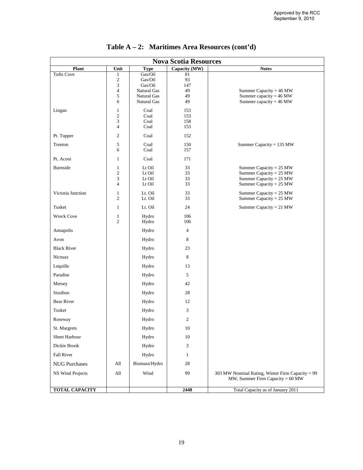| <b>Nova Scotia Resources</b> |                            |                    |                |                                                                                        |  |  |  |
|------------------------------|----------------------------|--------------------|----------------|----------------------------------------------------------------------------------------|--|--|--|
| Plant                        | Unit                       | <b>Type</b>        | Capacity (MW)  | <b>Notes</b>                                                                           |  |  |  |
| <b>Tufts Cove</b>            | 1                          | Gas/Oil            | 81             |                                                                                        |  |  |  |
|                              | $\mathbf{2}$<br>3          | Gas/Oil<br>Gas/Oil | 93<br>147      |                                                                                        |  |  |  |
|                              | $\overline{\mathcal{L}}$   | <b>Natural Gas</b> | 49             | Summer Capacity = $46$ MW                                                              |  |  |  |
|                              | 5                          | Natural Gas        | 49             | Summer capacity = $46$ MW                                                              |  |  |  |
|                              | 6                          | Natural Gas        | 49             | Summer capacity = $46$ MW                                                              |  |  |  |
| Lingan                       | $\mathbf{1}$               | Coal               | 153            |                                                                                        |  |  |  |
|                              | $\mathfrak{2}$<br>3        | Coal<br>Coal       | 153<br>158     |                                                                                        |  |  |  |
|                              | 4                          | Coal               | 153            |                                                                                        |  |  |  |
| Pt. Tupper                   | $\mathfrak{2}$             | Coal               | 152            |                                                                                        |  |  |  |
|                              |                            |                    |                |                                                                                        |  |  |  |
| Trenton                      | 5<br>6                     | Coal<br>Coal       | 150<br>157     | Summer Capacity = 135 MW                                                               |  |  |  |
| Pt. Aconi                    | $\mathbf{1}$               | Coal               | 171            |                                                                                        |  |  |  |
|                              |                            |                    |                |                                                                                        |  |  |  |
| <b>Burnside</b>              | $\mathbf{1}$<br>$\sqrt{2}$ | Lt Oil<br>Lt Oil   | 33<br>33       | Summer Capacity = $25$ MW<br>Summer Capacity = $25$ MW                                 |  |  |  |
|                              | 3                          | Lt Oil             | 33             | Summer Capacity = $25$ MW                                                              |  |  |  |
|                              | 4                          | Lt Oil             | 33             | Summer Capacity = $25$ MW                                                              |  |  |  |
| Victoria Junction            | $\mathbf{1}$               | Lt. Oil            | 33             | Summer Capacity = $25$ MW                                                              |  |  |  |
|                              | $\mathfrak{2}$             | Lt. Oil            | 33             | Summer Capacity = $25$ MW                                                              |  |  |  |
| Tusket                       | $\mathbf{1}$               | Lt. Oil            | 24             | Summer Capacity = $21$ MW                                                              |  |  |  |
| <b>Wreck Cove</b>            | $\mathbf{1}$               | Hydro              | 106            |                                                                                        |  |  |  |
|                              | $\overline{2}$             | Hydro              | 106            |                                                                                        |  |  |  |
| Annapolis                    |                            | Hydro              | $\overline{4}$ |                                                                                        |  |  |  |
| Avon                         |                            | Hydro              | 8              |                                                                                        |  |  |  |
| <b>Black River</b>           |                            | Hydro              | 23             |                                                                                        |  |  |  |
| Nictuax                      |                            | Hydro              | 8              |                                                                                        |  |  |  |
| Lequille                     |                            | Hydro              | 13             |                                                                                        |  |  |  |
| Paradise                     |                            | Hydro              | 5              |                                                                                        |  |  |  |
| Mersey                       |                            | Hydro              | 42             |                                                                                        |  |  |  |
| Sissiboo                     |                            | Hydro              | 28             |                                                                                        |  |  |  |
| Bear River                   |                            | Hydro              | 12             |                                                                                        |  |  |  |
| Tusket                       |                            | Hydro              | 3              |                                                                                        |  |  |  |
| Roseway                      |                            | Hydro              | $\overline{2}$ |                                                                                        |  |  |  |
| St. Margrets                 |                            | Hydro              | 10             |                                                                                        |  |  |  |
| Sheet Harbour                |                            | Hydro              | 10             |                                                                                        |  |  |  |
| Dickie Brook                 |                            | Hydro              | 3              |                                                                                        |  |  |  |
| Fall River                   |                            | Hydro              | $\mathbf{1}$   |                                                                                        |  |  |  |
| <b>NUG Purchases</b>         | All                        | Biomass/Hydro      | 28             |                                                                                        |  |  |  |
| <b>NS Wind Projects</b>      | All                        | Wind               | 99             | 303 MW Nominal Rating, Winter Firm Capacity = 99<br>MW, Summer Firm Capacity = $60$ MW |  |  |  |
| <b>TOTAL CAPACITY</b>        |                            |                    | 2448           | Total Capacity as of January 2011                                                      |  |  |  |

| Table $A - 2$ : Maritimes Area Resources (cont'd) |  |  |  |  |  |
|---------------------------------------------------|--|--|--|--|--|
|---------------------------------------------------|--|--|--|--|--|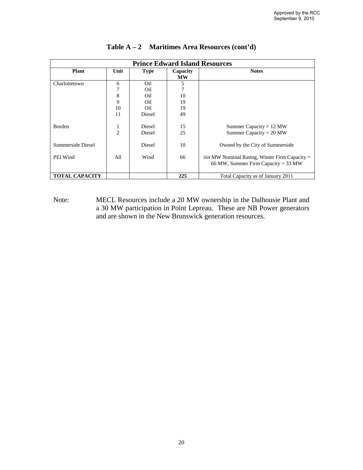| <b>Prince Edward Island Resources</b> |                                                 |        |           |                                                 |  |  |  |  |
|---------------------------------------|-------------------------------------------------|--------|-----------|-------------------------------------------------|--|--|--|--|
| <b>Plant</b>                          | Unit<br>Capacity<br><b>Notes</b><br><b>Type</b> |        |           |                                                 |  |  |  |  |
|                                       |                                                 |        | <b>MW</b> |                                                 |  |  |  |  |
| Charlottetown                         | 6                                               | Oil    | 5         |                                                 |  |  |  |  |
|                                       | 7                                               | Oil    | 7         |                                                 |  |  |  |  |
|                                       | 8                                               | Oil    | 10        |                                                 |  |  |  |  |
|                                       | 9                                               | Oil    | 19        |                                                 |  |  |  |  |
|                                       | 10                                              | Oil    | 19        |                                                 |  |  |  |  |
|                                       | 11                                              | Diesel | 49        |                                                 |  |  |  |  |
|                                       |                                                 |        |           |                                                 |  |  |  |  |
| <b>Borden</b>                         | 1                                               | Diesel | 15        | Summer Capacity = $12$ MW                       |  |  |  |  |
|                                       | $\overline{2}$                                  | Diesel | 25        | Summer Capacity = $20$ MW                       |  |  |  |  |
|                                       |                                                 |        |           |                                                 |  |  |  |  |
| Summerside Diesel                     |                                                 | Diesel | 10        | Owned by the City of Summerside                 |  |  |  |  |
|                                       |                                                 |        |           |                                                 |  |  |  |  |
| PEI Wind                              | All                                             | Wind   | 66        | 164 MW Nominal Rating, Winter Firm Capacity $=$ |  |  |  |  |
|                                       |                                                 |        |           | 66 MW, Summer Firm Capacity = 33 MW             |  |  |  |  |
|                                       |                                                 |        |           |                                                 |  |  |  |  |
| <b>TOTAL CAPACITY</b>                 |                                                 |        | 225       | Total Capacity as of January 2011               |  |  |  |  |

|  | Table $A - 2$ Maritimes Area Resources (cont'd) |  |  |  |
|--|-------------------------------------------------|--|--|--|
|--|-------------------------------------------------|--|--|--|

Note: MECL Resources include a 20 MW ownership in the Dalhousie Plant and a 30 MW participation in Point Lepreau. These are NB Power generators and are shown in the New Brunswick generation resources.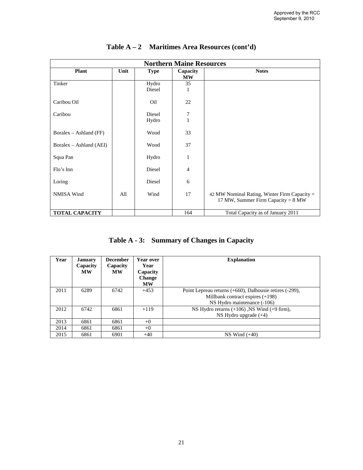| <b>Northern Maine Resources</b> |      |             |                       |                                                                                    |  |  |  |
|---------------------------------|------|-------------|-----------------------|------------------------------------------------------------------------------------|--|--|--|
| Plant                           | Unit | <b>Type</b> | Capacity<br><b>MW</b> | <b>Notes</b>                                                                       |  |  |  |
| Tinker                          |      | Hydro       | 35                    |                                                                                    |  |  |  |
|                                 |      | Diesel      | 1                     |                                                                                    |  |  |  |
| Caribou Oil                     |      | Oil         | 22                    |                                                                                    |  |  |  |
| Caribou                         |      | Diesel      | 7                     |                                                                                    |  |  |  |
|                                 |      | Hydro       | $\mathbf{1}$          |                                                                                    |  |  |  |
| Boralex – Ashland (FF)          |      | Wood        | 33                    |                                                                                    |  |  |  |
| Boralex – Ashland (AEI)         |      | Wood        | 37                    |                                                                                    |  |  |  |
| Squa Pan                        |      | Hydro       | $\mathbf{1}$          |                                                                                    |  |  |  |
| Flo's Inn                       |      | Diesel      | 4                     |                                                                                    |  |  |  |
| Loring                          |      | Diesel      | 6                     |                                                                                    |  |  |  |
| <b>NMISA Wind</b>               | All  | Wind        | 17                    | 42 MW Nominal Rating, Winter Firm Capacity =<br>17 MW, Summer Firm Capacity = 8 MW |  |  |  |
| <b>TOTAL CAPACITY</b>           |      |             | 164                   | Total Capacity as of January 2011                                                  |  |  |  |

|  | Table $A - 2$ Maritimes Area Resources (cont'd) |  |  |
|--|-------------------------------------------------|--|--|
|--|-------------------------------------------------|--|--|

**Table A - 3: Summary of Changes in Capacity** 

| Year | January<br>Capacity<br><b>MW</b> | <b>December</b><br>Capacity<br><b>MW</b> | Year over<br>Year<br>Capacity<br><b>Change</b><br><b>MW</b> | <b>Explanation</b>                                                                                                         |
|------|----------------------------------|------------------------------------------|-------------------------------------------------------------|----------------------------------------------------------------------------------------------------------------------------|
| 2011 | 6289                             | 6742                                     | $+453$                                                      | Point Lepreau returns (+660), Dalhousie retires (-299),<br>Millbank contract expires (+198)<br>NS Hydro maintenance (-106) |
| 2012 | 6742                             | 6861                                     | $+119$                                                      | NS Hydro returns (+106), NS Wind (+9 firm),<br>NS Hydro upgrade $(+4)$                                                     |
| 2013 | 6861                             | 6861                                     | $+0$                                                        |                                                                                                                            |
| 2014 | 6861                             | 6861                                     | $+0$                                                        |                                                                                                                            |
| 2015 | 6861                             | 6901                                     | $+40$                                                       | NS Wind $(+40)$                                                                                                            |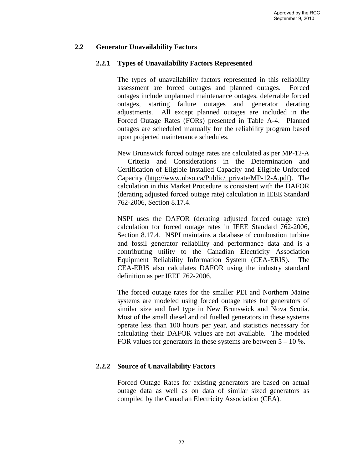#### **2.2 Generator Unavailability Factors**

#### **2.2.1 Types of Unavailability Factors Represented**

The types of unavailability factors represented in this reliability assessment are forced outages and planned outages. Forced outages include unplanned maintenance outages, deferrable forced outages, starting failure outages and generator derating adjustments. All except planned outages are included in the Forced Outage Rates (FORs) presented in Table A-4. Planned outages are scheduled manually for the reliability program based upon projected maintenance schedules.

New Brunswick forced outage rates are calculated as per MP-12-A – Criteria and Considerations in the Determination and Certification of Eligible Installed Capacity and Eligible Unforced Capacity [\(http://www.nbso.ca/Public/\\_private/MP-12-A.pdf\)](http://www.nbso.ca/Public/_private/MP-12-A.pdf). The calculation in this Market Procedure is consistent with the DAFOR (derating adjusted forced outage rate) calculation in IEEE Standard 762-2006, Section 8.17.4.

NSPI uses the DAFOR (derating adjusted forced outage rate) calculation for forced outage rates in IEEE Standard 762-2006, Section 8.17.4. NSPI maintains a database of combustion turbine and fossil generator reliability and performance data and is a contributing utility to the Canadian Electricity Association Equipment Reliability Information System (CEA-ERIS). The CEA-ERIS also calculates DAFOR using the industry standard definition as per IEEE 762-2006.

The forced outage rates for the smaller PEI and Northern Maine systems are modeled using forced outage rates for generators of similar size and fuel type in New Brunswick and Nova Scotia. Most of the small diesel and oil fuelled generators in these systems operate less than 100 hours per year, and statistics necessary for calculating their DAFOR values are not available. The modeled FOR values for generators in these systems are between  $5 - 10$  %.

#### **2.2.2 Source of Unavailability Factors**

Forced Outage Rates for existing generators are based on actual outage data as well as on data of similar sized generators as compiled by the Canadian Electricity Association (CEA).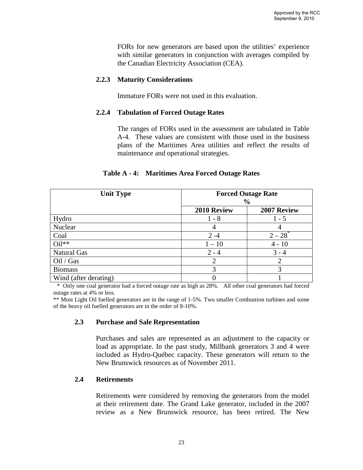FORs for new generators are based upon the utilities' experience with similar generators in conjunction with averages compiled by the Canadian Electricity Association (CEA).

#### **2.2.3 Maturity Considerations**

Immature FORs were not used in this evaluation.

#### **2.2.4 Tabulation of Forced Outage Rates**

The ranges of FORs used in the assessment are tabulated in Table A-4. These values are consistent with those used in the business plans of the Maritimes Area utilities and reflect the results of maintenance and operational strategies.

#### **Table A - 4: Maritimes Area Forced Outage Rates**

| <b>Unit Type</b>      | <b>Forced Outage Rate</b><br>$\frac{6}{9}$ |              |  |  |  |
|-----------------------|--------------------------------------------|--------------|--|--|--|
|                       | 2010 Review                                | 2007 Review  |  |  |  |
| Hydro                 | 1 - 8                                      | $1 - 5$      |  |  |  |
| Nuclear               | 4                                          |              |  |  |  |
| Coal                  | $2 - 4$                                    | $2 - 28^{r}$ |  |  |  |
| $Oi$ <sup>**</sup>    | $1 - 10$                                   | $4 - 10$     |  |  |  |
| <b>Natural Gas</b>    | $2 - 4$                                    | $3 - 4$      |  |  |  |
| Oil / Gas             | $\overline{2}$                             |              |  |  |  |
| <b>Biomass</b>        | 3                                          |              |  |  |  |
| Wind (after derating) |                                            |              |  |  |  |

 \* Only one coal generator had a forced outage rate as high as 28%. All other coal generators had forced outage rates at 4% or less.

\*\* Most Light Oil fuelled generators are in the range of 1-5%. Two smaller Combustion turbines and some of the heavy oil fuelled generators are in the order of 8-10%.

#### **2.3 Purchase and Sale Representation**

Purchases and sales are represented as an adjustment to the capacity or load as appropriate. In the past study, Millbank generators 3 and 4 were included as Hydro-Québec capacity. These generators will return to the New Brunswick resources as of November 2011.

#### **2.4 Retirements**

Retirements were considered by removing the generators from the model at their retirement date. The Grand Lake generator, included in the 2007 review as a New Brunswick resource, has been retired. The New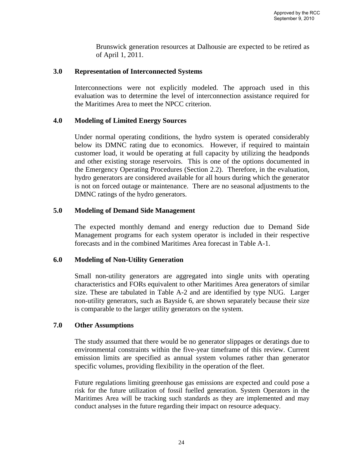Brunswick generation resources at Dalhousie are expected to be retired as of April 1, 2011.

#### **3.0 Representation of Interconnected Systems**

Interconnections were not explicitly modeled. The approach used in this evaluation was to determine the level of interconnection assistance required for the Maritimes Area to meet the NPCC criterion.

#### **4.0 Modeling of Limited Energy Sources**

Under normal operating conditions, the hydro system is operated considerably below its DMNC rating due to economics. However, if required to maintain customer load, it would be operating at full capacity by utilizing the headponds and other existing storage reservoirs. This is one of the options documented in the Emergency Operating Procedures (Section 2.2). Therefore, in the evaluation, hydro generators are considered available for all hours during which the generator is not on forced outage or maintenance. There are no seasonal adjustments to the DMNC ratings of the hydro generators.

#### **5.0 Modeling of Demand Side Management**

The expected monthly demand and energy reduction due to Demand Side Management programs for each system operator is included in their respective forecasts and in the combined Maritimes Area forecast in Table A-1.

#### **6.0 Modeling of Non-Utility Generation**

Small non-utility generators are aggregated into single units with operating characteristics and FORs equivalent to other Maritimes Area generators of similar size. These are tabulated in Table A-2 and are identified by type NUG. Larger non-utility generators, such as Bayside 6, are shown separately because their size is comparable to the larger utility generators on the system.

#### **7.0 Other Assumptions**

The study assumed that there would be no generator slippages or deratings due to environmental constraints within the five-year timeframe of this review. Current emission limits are specified as annual system volumes rather than generator specific volumes, providing flexibility in the operation of the fleet.

Future regulations limiting greenhouse gas emissions are expected and could pose a risk for the future utilization of fossil fuelled generation. System Operators in the Maritimes Area will be tracking such standards as they are implemented and may conduct analyses in the future regarding their impact on resource adequacy.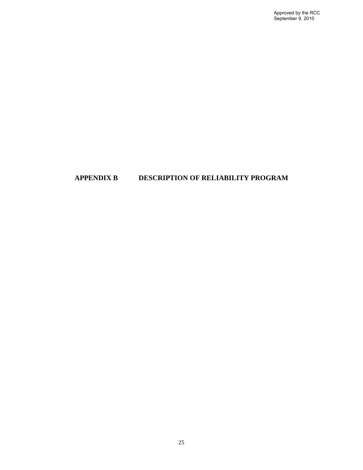## **APPENDIX B DESCRIPTION OF RELIABILITY PROGRAM**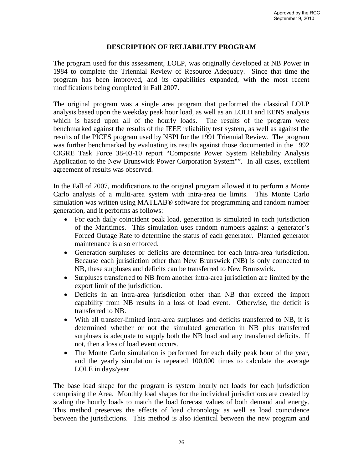#### **DESCRIPTION OF RELIABILITY PROGRAM**

The program used for this assessment, LOLP, was originally developed at NB Power in 1984 to complete the Triennial Review of Resource Adequacy. Since that time the program has been improved, and its capabilities expanded, with the most recent modifications being completed in Fall 2007.

The original program was a single area program that performed the classical LOLP analysis based upon the weekday peak hour load, as well as an LOLH and EENS analysis which is based upon all of the hourly loads. The results of the program were benchmarked against the results of the IEEE reliability test system, as well as against the results of the PICES program used by NSPI for the 1991 Triennial Review. The program was further benchmarked by evaluating its results against those documented in the 1992 CIGRE Task Force 38-03-10 report "Composite Power System Reliability Analysis Application to the New Brunswick Power Corporation System"". In all cases, excellent agreement of results was observed.

In the Fall of 2007, modifications to the original program allowed it to perform a Monte Carlo analysis of a multi-area system with intra-area tie limits. This Monte Carlo simulation was written using MATLAB® software for programming and random number generation, and it performs as follows:

- For each daily coincident peak load, generation is simulated in each jurisdiction of the Maritimes. This simulation uses random numbers against a generator's Forced Outage Rate to determine the status of each generator. Planned generator maintenance is also enforced.
- Generation surpluses or deficits are determined for each intra-area jurisdiction. Because each jurisdiction other than New Brunswick (NB) is only connected to NB, these surpluses and deficits can be transferred to New Brunswick.
- Surpluses transferred to NB from another intra-area jurisdiction are limited by the export limit of the jurisdiction.
- Deficits in an intra-area jurisdiction other than NB that exceed the import capability from NB results in a loss of load event. Otherwise, the deficit is transferred to NB.
- With all transfer-limited intra-area surpluses and deficits transferred to NB, it is determined whether or not the simulated generation in NB plus transferred surpluses is adequate to supply both the NB load and any transferred deficits. If not, then a loss of load event occurs.
- The Monte Carlo simulation is performed for each daily peak hour of the year, and the yearly simulation is repeated 100,000 times to calculate the average LOLE in days/year.

The base load shape for the program is system hourly net loads for each jurisdiction comprising the Area. Monthly load shapes for the individual jurisdictions are created by scaling the hourly loads to match the load forecast values of both demand and energy. This method preserves the effects of load chronology as well as load coincidence between the jurisdictions. This method is also identical between the new program and